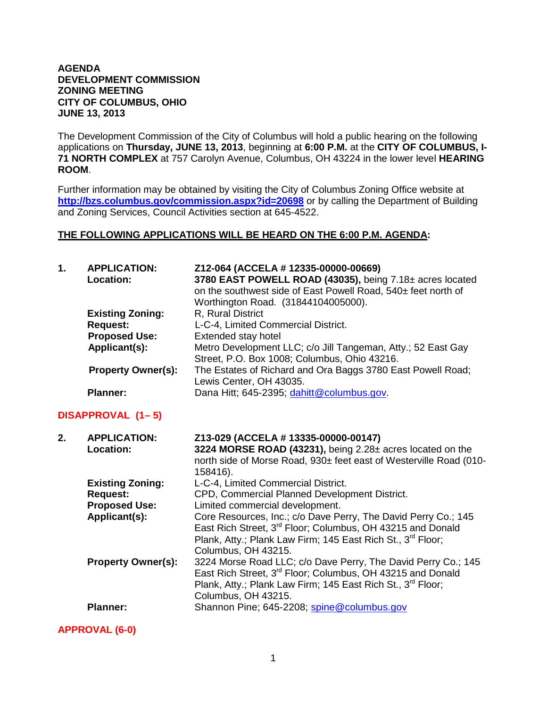#### **AGENDA DEVELOPMENT COMMISSION ZONING MEETING CITY OF COLUMBUS, OHIO JUNE 13, 2013**

The Development Commission of the City of Columbus will hold a public hearing on the following applications on **Thursday, JUNE 13, 2013**, beginning at **6:00 P.M.** at the **CITY OF COLUMBUS, I-71 NORTH COMPLEX** at 757 Carolyn Avenue, Columbus, OH 43224 in the lower level **HEARING ROOM**.

Further information may be obtained by visiting the City of Columbus Zoning Office website at **http://bzs.columbus.gov/commission.aspx?id=20698** or by calling the Department of Building and Zoning Services, Council Activities section at 645-4522.

#### **THE FOLLOWING APPLICATIONS WILL BE HEARD ON THE 6:00 P.M. AGENDA:**

| 1. | <b>APPLICATION:</b><br><b>Location:</b> | Z12-064 (ACCELA # 12335-00000-00669)<br>3780 EAST POWELL ROAD (43035), being 7.18± acres located |
|----|-----------------------------------------|--------------------------------------------------------------------------------------------------|
|    |                                         | on the southwest side of East Powell Road, 540± feet north of                                    |
|    |                                         | Worthington Road. (31844104005000).                                                              |
|    | <b>Existing Zoning:</b>                 | R, Rural District                                                                                |
|    | <b>Request:</b>                         | L-C-4, Limited Commercial District.                                                              |
|    | <b>Proposed Use:</b>                    | Extended stay hotel                                                                              |
|    | Applicant(s):                           | Metro Development LLC; c/o Jill Tangeman, Atty.; 52 East Gay                                     |
|    |                                         | Street, P.O. Box 1008; Columbus, Ohio 43216.                                                     |
|    | <b>Property Owner(s):</b>               | The Estates of Richard and Ora Baggs 3780 East Powell Road;                                      |
|    |                                         | Lewis Center, OH 43035.                                                                          |
|    | <b>Planner:</b>                         | Dana Hitt; 645-2395; dahitt@columbus.gov.                                                        |

# **DISAPPROVAL (1– 5)**

| 2. | <b>APPLICATION:</b>       | Z13-029 (ACCELA # 13335-00000-00147)                                    |
|----|---------------------------|-------------------------------------------------------------------------|
|    | Location:                 | 3224 MORSE ROAD (43231), being 2.28± acres located on the               |
|    |                           | north side of Morse Road, 930± feet east of Westerville Road (010-      |
|    |                           | 158416).                                                                |
|    | <b>Existing Zoning:</b>   | L-C-4, Limited Commercial District.                                     |
|    | <b>Request:</b>           | CPD, Commercial Planned Development District.                           |
|    | <b>Proposed Use:</b>      | Limited commercial development.                                         |
|    | Applicant(s):             | Core Resources, Inc.; c/o Dave Perry, The David Perry Co.; 145          |
|    |                           | East Rich Street, 3rd Floor; Columbus, OH 43215 and Donald              |
|    |                           | Plank, Atty.; Plank Law Firm; 145 East Rich St., 3rd Floor;             |
|    |                           | Columbus, OH 43215.                                                     |
|    | <b>Property Owner(s):</b> | 3224 Morse Road LLC; c/o Dave Perry, The David Perry Co.; 145           |
|    |                           | East Rich Street, 3 <sup>rd</sup> Floor; Columbus, OH 43215 and Donald  |
|    |                           | Plank, Atty.; Plank Law Firm; 145 East Rich St., 3 <sup>rd</sup> Floor; |
|    |                           | Columbus, OH 43215.                                                     |
|    | <b>Planner:</b>           | Shannon Pine; 645-2208; spine@columbus.gov                              |
|    |                           |                                                                         |

**APPROVAL (6-0)**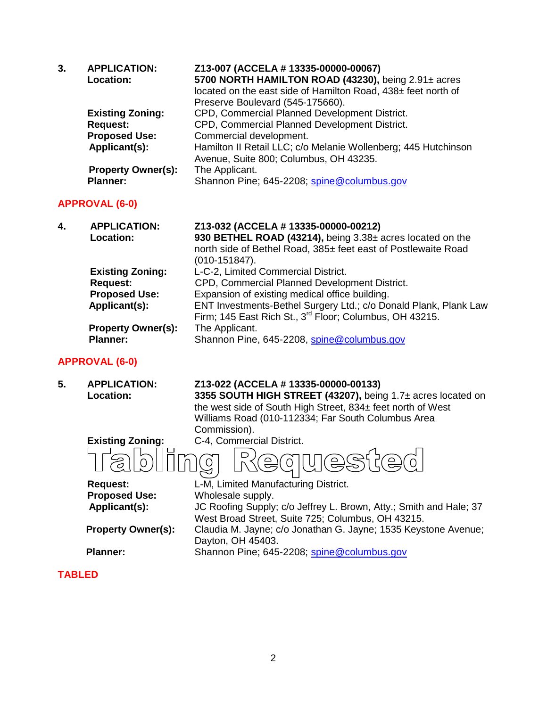| 3. | <b>APPLICATION:</b><br><b>Location:</b><br><b>Existing Zoning:</b><br><b>Request:</b><br><b>Proposed Use:</b><br>Applicant(s):<br><b>Property Owner(s):</b><br><b>Planner:</b> | Z13-007 (ACCELA # 13335-00000-00067)<br>5700 NORTH HAMILTON ROAD (43230), being 2.91± acres<br>located on the east side of Hamilton Road, 438± feet north of<br>Preserve Boulevard (545-175660).<br>CPD, Commercial Planned Development District.<br>CPD, Commercial Planned Development District.<br>Commercial development.<br>Hamilton II Retail LLC; c/o Melanie Wollenberg; 445 Hutchinson<br>Avenue, Suite 800; Columbus, OH 43235.<br>The Applicant.<br>Shannon Pine; 645-2208; spine@columbus.gov |
|----|--------------------------------------------------------------------------------------------------------------------------------------------------------------------------------|-----------------------------------------------------------------------------------------------------------------------------------------------------------------------------------------------------------------------------------------------------------------------------------------------------------------------------------------------------------------------------------------------------------------------------------------------------------------------------------------------------------|
|    | <b>APPROVAL (6-0)</b>                                                                                                                                                          |                                                                                                                                                                                                                                                                                                                                                                                                                                                                                                           |
| 4. | <b>APPLICATION:</b><br><b>Location:</b>                                                                                                                                        | Z13-032 (ACCELA # 13335-00000-00212)<br>930 BETHEL ROAD (43214), being 3.38± acres located on the<br>north side of Bethel Road, 385± feet east of Postlewaite Road<br>$(010-151847)$ .                                                                                                                                                                                                                                                                                                                    |
|    | <b>Existing Zoning:</b><br><b>Request:</b><br><b>Proposed Use:</b><br>Applicant(s):                                                                                            | L-C-2, Limited Commercial District.<br>CPD, Commercial Planned Development District.<br>Expansion of existing medical office building.<br>ENT Investments-Bethel Surgery Ltd.; c/o Donald Plank, Plank Law<br>Firm; 145 East Rich St., 3 <sup>rd</sup> Floor; Columbus, OH 43215.                                                                                                                                                                                                                         |
|    | <b>Property Owner(s):</b>                                                                                                                                                      | The Applicant.                                                                                                                                                                                                                                                                                                                                                                                                                                                                                            |

# **APPROVAL (6-0)**

**Property Owner(s):<br>Planner:** 

| 5. | <b>APPLICATION:</b><br><b>Location:</b> | Z13-022 (ACCELA # 13335-00000-00133)<br>3355 SOUTH HIGH STREET (43207), being 1.7± acres located on<br>the west side of South High Street, 834± feet north of West<br>Williams Road (010-112334; Far South Columbus Area<br>Commission). |
|----|-----------------------------------------|------------------------------------------------------------------------------------------------------------------------------------------------------------------------------------------------------------------------------------------|
|    | <b>Existing Zoning:</b>                 | C-4, Commercial District.                                                                                                                                                                                                                |
|    |                                         | $(\preccurlyeq)$<br>$\supset$<br>$\equiv$<br>$\circ$                                                                                                                                                                                     |
|    | <b>Request:</b>                         | L-M, Limited Manufacturing District.                                                                                                                                                                                                     |
|    | <b>Proposed Use:</b>                    | Wholesale supply.                                                                                                                                                                                                                        |
|    | Applicant(s):                           | JC Roofing Supply; c/o Jeffrey L. Brown, Atty.; Smith and Hale; 37                                                                                                                                                                       |
|    |                                         | West Broad Street, Suite 725; Columbus, OH 43215.                                                                                                                                                                                        |
|    | <b>Property Owner(s):</b>               | Claudia M. Jayne; c/o Jonathan G. Jayne; 1535 Keystone Avenue;                                                                                                                                                                           |
|    |                                         | Dayton, OH 45403.                                                                                                                                                                                                                        |
|    | <b>Planner:</b>                         | Shannon Pine; 645-2208; spine@columbus.gov                                                                                                                                                                                               |
|    |                                         |                                                                                                                                                                                                                                          |

Shannon Pine, 645-2208, [spine@columbus.gov](mailto:spine@columbus.gov)

## **TABLED**